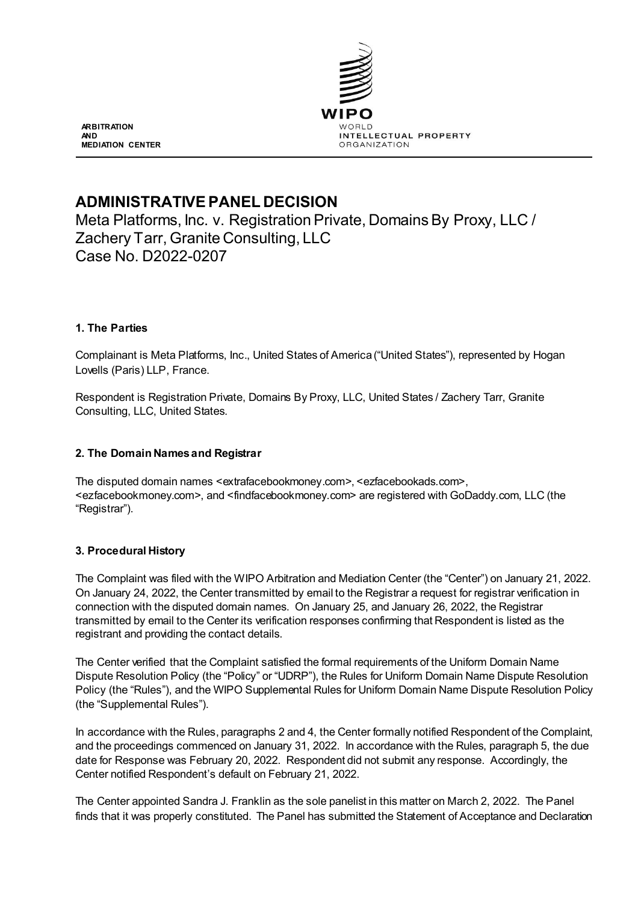

**ARBITRATION AND MEDIATION CENTER**

# **ADMINISTRATIVE PANEL DECISION**

Meta Platforms, Inc. v. Registration Private, Domains By Proxy, LLC / Zachery Tarr, Granite Consulting, LLC Case No. D2022-0207

# **1. The Parties**

Complainant is Meta Platforms, Inc., United States of America ("United States"), represented by Hogan Lovells (Paris) LLP, France.

Respondent is Registration Private, Domains By Proxy, LLC, United States / Zachery Tarr, Granite Consulting, LLC, United States.

## **2. The Domain Names and Registrar**

The disputed domain names <extrafacebookmoney.com>, <ezfacebookads.com>, <ezfacebookmoney.com>, and <findfacebookmoney.com> are registered with GoDaddy.com, LLC (the "Registrar").

## **3. Procedural History**

The Complaint was filed with the WIPO Arbitration and Mediation Center (the "Center") on January 21, 2022. On January 24, 2022, the Center transmitted by email to the Registrar a request for registrar verification in connection with the disputed domain names. On January 25, and January 26, 2022, the Registrar transmitted by email to the Center its verification responses confirming that Respondent is listed as the registrant and providing the contact details.

The Center verified that the Complaint satisfied the formal requirements of the Uniform Domain Name Dispute Resolution Policy (the "Policy" or "UDRP"), the Rules for Uniform Domain Name Dispute Resolution Policy (the "Rules"), and the WIPO Supplemental Rules for Uniform Domain Name Dispute Resolution Policy (the "Supplemental Rules").

In accordance with the Rules, paragraphs 2 and 4, the Center formally notified Respondent of the Complaint, and the proceedings commenced on January 31, 2022. In accordance with the Rules, paragraph 5, the due date for Response was February 20, 2022. Respondent did not submit any response. Accordingly, the Center notified Respondent's default on February 21, 2022.

The Center appointed Sandra J. Franklin as the sole panelist in this matter on March 2, 2022. The Panel finds that it was properly constituted. The Panel has submitted the Statement of Acceptance and Declaration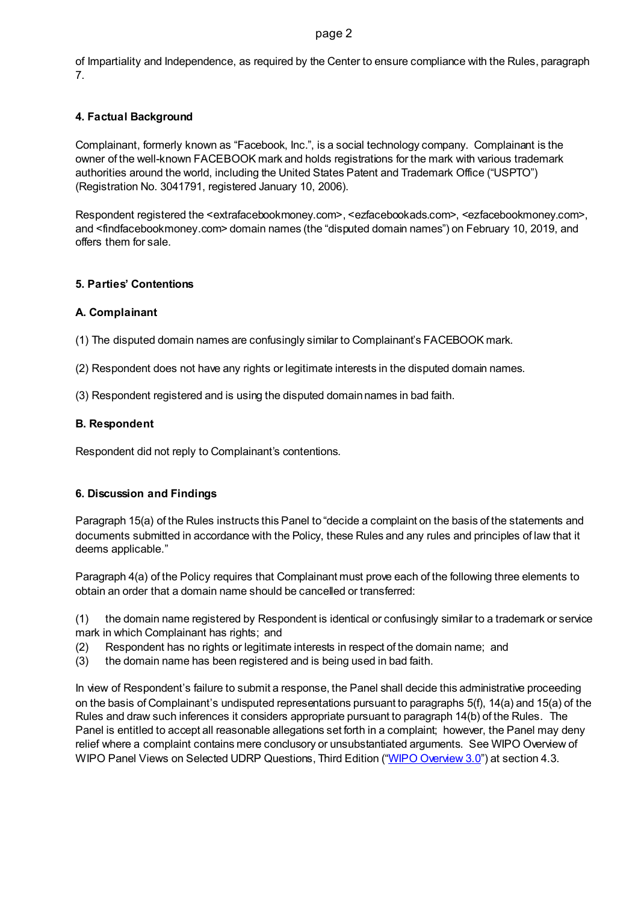#### page 2

of Impartiality and Independence, as required by the Center to ensure compliance with the Rules, paragraph 7.

## **4. Factual Background**

Complainant, formerly known as "Facebook, Inc.", is a social technology company. Complainant is the owner of the well-known FACEBOOK mark and holds registrations for the mark with various trademark authorities around the world, including the United States Patent and Trademark Office ("USPTO") (Registration No. 3041791, registered January 10, 2006).

Respondent registered the <extrafacebookmoney.com>, <ezfacebookads.com>, <ezfacebookmoney.com>, and <findfacebookmoney.com> domain names (the "disputed domain names") on February 10, 2019, and offers them for sale.

## **5. Parties' Contentions**

## **A. Complainant**

(1) The disputed domain names are confusingly similar to Complainant's FACEBOOK mark.

- (2) Respondent does not have any rights or legitimate interests in the disputed domain names.
- (3) Respondent registered and is using the disputed domain names in bad faith.

# **B. Respondent**

Respondent did not reply to Complainant's contentions.

## **6. Discussion and Findings**

Paragraph 15(a) of the Rules instructs this Panel to "decide a complaint on the basis of the statements and documents submitted in accordance with the Policy, these Rules and any rules and principles of law that it deems applicable."

Paragraph 4(a) of the Policy requires that Complainant must prove each of the following three elements to obtain an order that a domain name should be cancelled or transferred:

(1) the domain name registered by Respondent is identical or confusingly similar to a trademark or service mark in which Complainant has rights; and

- (2) Respondent has no rights or legitimate interests in respect of the domain name; and
- (3) the domain name has been registered and is being used in bad faith.

In view of Respondent's failure to submit a response, the Panel shall decide this administrative proceeding on the basis of Complainant's undisputed representations pursuant to paragraphs 5(f), 14(a) and 15(a) of the Rules and draw such inferences it considers appropriate pursuant to paragraph 14(b) of the Rules. The Panel is entitled to accept all reasonable allegations set forth in a complaint; however, the Panel may deny relief where a complaint contains mere conclusory or unsubstantiated arguments. See WIPO Overview of WIPO Panel Views on Selected UDRP Questions, Third Edition [\("WIPO Overview](https://www.wipo.int/amc/en/domains/search/overview3.0/) 3.0") at section 4.3.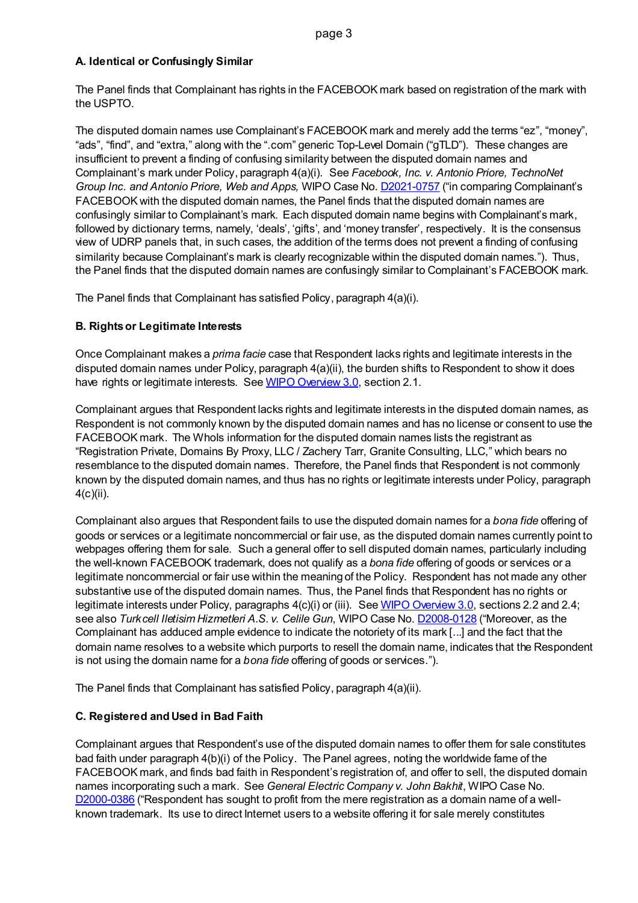# **A. Identical or Confusingly Similar**

The Panel finds that Complainant has rights in the FACEBOOK mark based on registration of the mark with the USPTO.

The disputed domain names use Complainant's FACEBOOK mark and merely add the terms "ez", "money", "ads", "find", and "extra," along with the ".com" generic Top-Level Domain ("gTLD"). These changes are insufficient to prevent a finding of confusing similarity between the disputed domain names and Complainant's mark under Policy, paragraph 4(a)(i). See *Facebook, Inc. v. Antonio Priore, TechnoNet Group Inc. and Antonio Priore, Web and Apps,* WIPO Case No[. D2021-0757](https://www.wipo.int/amc/en/domains/search/text.jsp?case=D2021-0757) ("in comparing Complainant's FACEBOOK with the disputed domain names, the Panel finds that the disputed domain names are confusingly similar to Complainant's mark. Each disputed domain name begins with Complainant's mark, followed by dictionary terms, namely, 'deals', 'gifts', and 'money transfer', respectively. It is the consensus view of UDRP panels that, in such cases, the addition of the terms does not prevent a finding of confusing similarity because Complainant's mark is clearly recognizable within the disputed domain names."). Thus, the Panel finds that the disputed domain names are confusingly similar to Complainant's FACEBOOK mark.

The Panel finds that Complainant has satisfied Policy, paragraph 4(a)(i).

# **B. Rights or Legitimate Interests**

Once Complainant makes a *prima facie* case that Respondent lacks rights and legitimate interests in the disputed domain names under Policy, paragraph 4(a)(ii), the burden shifts to Respondent to show it does have rights or legitimate interests. Se[e WIPO Overview 3.0,](https://www.wipo.int/amc/en/domains/search/overview3.0/) section 2.1.

Complainant argues that Respondent lacks rights and legitimate interests in the disputed domain names, as Respondent is not commonly known by the disputed domain names and has no license or consent to use the FACEBOOK mark. The Whols information for the disputed domain names lists the registrant as "Registration Private, Domains By Proxy, LLC / Zachery Tarr, Granite Consulting, LLC," which bears no resemblance to the disputed domain names. Therefore, the Panel finds that Respondent is not commonly known by the disputed domain names, and thus has no rights or legitimate interests under Policy, paragraph 4(c)(ii).

Complainant also argues that Respondent fails to use the disputed domain names for a *bona fide* offering of goods or services or a legitimate noncommercial or fair use, as the disputed domain names currently point to webpages offering them for sale. Such a general offer to sell disputed domain names, particularly including the well-known FACEBOOK trademark, does not qualify as a *bona fide* offering of goods or services or a legitimate noncommercial or fair use within the meaning of the Policy. Respondent has not made any other substantive use of the disputed domain names. Thus, the Panel finds that Respondent has no rights or legitimate interests under Policy, paragraphs 4(c)(i) or (iii). Se[e WIPO Overview 3.0,](https://www.wipo.int/amc/en/domains/search/overview3.0/) sections 2.2 and 2.4; see also *Turkcell Iletisim Hizmetleri A.S. v. Celile Gun*, WIPO Case No[. D2008-0128](https://www.wipo.int/amc/en/domains/decisions/html/2008/d2008-0128.html) ("Moreover, as the Complainant has adduced ample evidence to indicate the notoriety of its mark [...] and the fact that the domain name resolves to a website which purports to resell the domain name, indicates that the Respondent is not using the domain name for a *bona fide* offering of goods or services.").

The Panel finds that Complainant has satisfied Policy, paragraph 4(a)(ii).

# **C. Registered and Used in Bad Faith**

Complainant argues that Respondent's use of the disputed domain names to offer them for sale constitutes bad faith under paragraph 4(b)(i) of the Policy. The Panel agrees, noting the worldwide fame of the FACEBOOK mark, and finds bad faith in Respondent's registration of, and offer to sell, the disputed domain names incorporating such a mark. See *General Electric Company v. John Bakhit*, WIPO Case No. [D2000-0386](https://www.wipo.int/amc/en/domains/decisions/html/2000/d2000-0386.html) ("Respondent has sought to profit from the mere registration as a domain name of a wellknown trademark. Its use to direct Internet users to a website offering it for sale merely constitutes